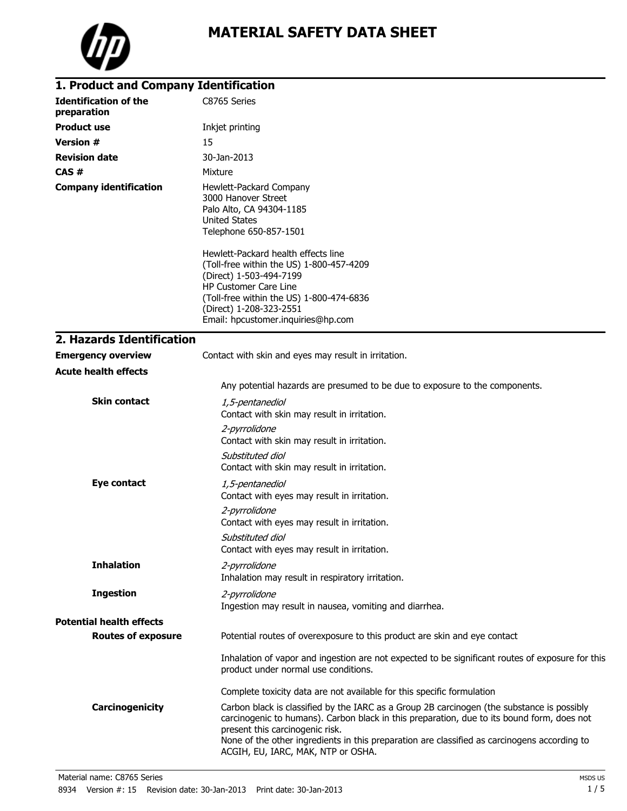

| 1. Product and Company Identification       |                                                                                                                                                                                                                                                                                                                                                                           |
|---------------------------------------------|---------------------------------------------------------------------------------------------------------------------------------------------------------------------------------------------------------------------------------------------------------------------------------------------------------------------------------------------------------------------------|
| <b>Identification of the</b><br>preparation | C8765 Series                                                                                                                                                                                                                                                                                                                                                              |
| <b>Product use</b>                          | Inkjet printing                                                                                                                                                                                                                                                                                                                                                           |
| <b>Version #</b>                            | 15                                                                                                                                                                                                                                                                                                                                                                        |
| <b>Revision date</b>                        | 30-Jan-2013                                                                                                                                                                                                                                                                                                                                                               |
| CAS#                                        | Mixture                                                                                                                                                                                                                                                                                                                                                                   |
| <b>Company identification</b>               | Hewlett-Packard Company<br>3000 Hanover Street<br>Palo Alto, CA 94304-1185<br>United States<br>Telephone 650-857-1501<br>Hewlett-Packard health effects line<br>(Toll-free within the US) 1-800-457-4209<br>(Direct) 1-503-494-7199<br>HP Customer Care Line<br>(Toll-free within the US) 1-800-474-6836<br>(Direct) 1-208-323-2551<br>Email: hpcustomer.inquiries@hp.com |
| 2. Hazards Identification                   |                                                                                                                                                                                                                                                                                                                                                                           |
| <b>Emergency overview</b>                   | Contact with skin and eyes may result in irritation.                                                                                                                                                                                                                                                                                                                      |
| <b>Acute health effects</b>                 |                                                                                                                                                                                                                                                                                                                                                                           |
|                                             | Any potential hazards are presumed to be due to exposure to the components.                                                                                                                                                                                                                                                                                               |
| <b>Skin contact</b>                         | 1,5-pentanediol<br>Contact with skin may result in irritation.                                                                                                                                                                                                                                                                                                            |
|                                             | 2-pyrrolidone<br>Contact with skin may result in irritation.                                                                                                                                                                                                                                                                                                              |
|                                             | Substituted diol<br>Contact with skin may result in irritation.                                                                                                                                                                                                                                                                                                           |
| Eye contact                                 | 1,5-pentanediol<br>Contact with eyes may result in irritation.                                                                                                                                                                                                                                                                                                            |
|                                             | 2-pyrrolidone<br>Contact with eyes may result in irritation.                                                                                                                                                                                                                                                                                                              |
|                                             | Substituted diol<br>Contact with eyes may result in irritation.                                                                                                                                                                                                                                                                                                           |
| <b>Inhalation</b>                           | 2-pyrrolidone<br>Inhalation may result in respiratory irritation.                                                                                                                                                                                                                                                                                                         |
| <b>Ingestion</b>                            | 2-pyrrolidone<br>Ingestion may result in nausea, vomiting and diarrhea.                                                                                                                                                                                                                                                                                                   |
| <b>Potential health effects</b>             |                                                                                                                                                                                                                                                                                                                                                                           |
| <b>Routes of exposure</b>                   | Potential routes of overexposure to this product are skin and eye contact                                                                                                                                                                                                                                                                                                 |
|                                             | Inhalation of vapor and ingestion are not expected to be significant routes of exposure for this<br>product under normal use conditions.                                                                                                                                                                                                                                  |
|                                             | Complete toxicity data are not available for this specific formulation                                                                                                                                                                                                                                                                                                    |
| Carcinogenicity                             | Carbon black is classified by the IARC as a Group 2B carcinogen (the substance is possibly<br>carcinogenic to humans). Carbon black in this preparation, due to its bound form, does not<br>present this carcinogenic risk.<br>None of the other ingredients in this preparation are classified as carcinogens according to<br>ACGIH, EU, IARC, MAK, NTP or OSHA.         |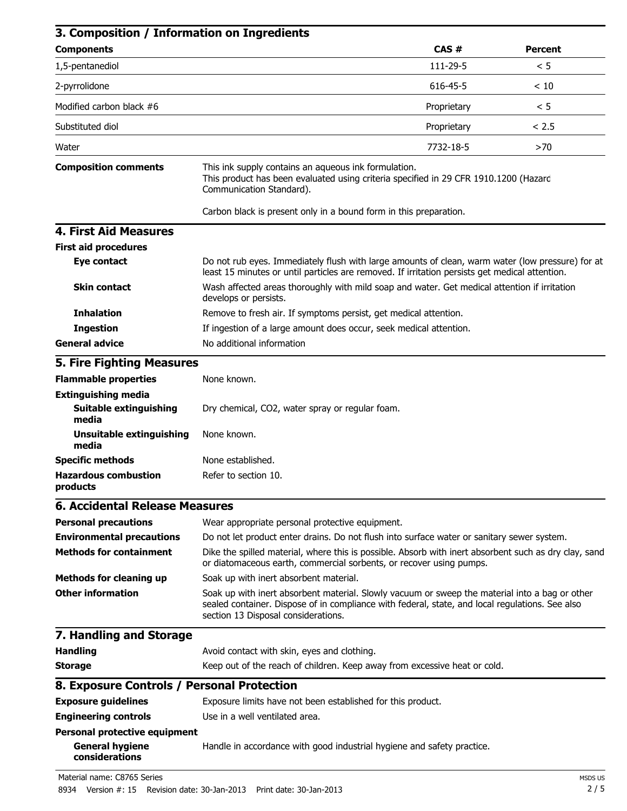| 3. Composition / Information on Ingredients                                      |                                                                                                                                                                                                                                          |             |                |
|----------------------------------------------------------------------------------|------------------------------------------------------------------------------------------------------------------------------------------------------------------------------------------------------------------------------------------|-------------|----------------|
| <b>Components</b>                                                                |                                                                                                                                                                                                                                          | CAS#        | <b>Percent</b> |
| 1,5-pentanediol                                                                  |                                                                                                                                                                                                                                          | 111-29-5    | < 5            |
| 2-pyrrolidone                                                                    |                                                                                                                                                                                                                                          | 616-45-5    | < 10           |
| Modified carbon black #6                                                         |                                                                                                                                                                                                                                          | Proprietary | < 5            |
| Substituted diol                                                                 |                                                                                                                                                                                                                                          | Proprietary | < 2.5          |
| Water                                                                            |                                                                                                                                                                                                                                          | 7732-18-5   | >70            |
| <b>Composition comments</b>                                                      | This ink supply contains an aqueous ink formulation.<br>This product has been evaluated using criteria specified in 29 CFR 1910.1200 (Hazard<br>Communication Standard).                                                                 |             |                |
|                                                                                  | Carbon black is present only in a bound form in this preparation.                                                                                                                                                                        |             |                |
| <b>4. First Aid Measures</b>                                                     |                                                                                                                                                                                                                                          |             |                |
| <b>First aid procedures</b>                                                      |                                                                                                                                                                                                                                          |             |                |
| Eye contact                                                                      | Do not rub eyes. Immediately flush with large amounts of clean, warm water (low pressure) for at<br>least 15 minutes or until particles are removed. If irritation persists get medical attention.                                       |             |                |
| <b>Skin contact</b>                                                              | Wash affected areas thoroughly with mild soap and water. Get medical attention if irritation<br>develops or persists.                                                                                                                    |             |                |
| <b>Inhalation</b>                                                                | Remove to fresh air. If symptoms persist, get medical attention.                                                                                                                                                                         |             |                |
| <b>Ingestion</b>                                                                 | If ingestion of a large amount does occur, seek medical attention.                                                                                                                                                                       |             |                |
| <b>General advice</b>                                                            | No additional information                                                                                                                                                                                                                |             |                |
| <b>5. Fire Fighting Measures</b>                                                 |                                                                                                                                                                                                                                          |             |                |
| <b>Flammable properties</b>                                                      | None known.                                                                                                                                                                                                                              |             |                |
| <b>Extinguishing media</b>                                                       |                                                                                                                                                                                                                                          |             |                |
| Suitable extinguishing<br>media                                                  | Dry chemical, CO2, water spray or regular foam.                                                                                                                                                                                          |             |                |
| <b>Unsuitable extinguishing</b><br>media                                         | None known.                                                                                                                                                                                                                              |             |                |
| <b>Specific methods</b>                                                          | None established.                                                                                                                                                                                                                        |             |                |
| <b>Hazardous combustion</b><br>products                                          | Refer to section 10.                                                                                                                                                                                                                     |             |                |
| <b>6. Accidental Release Measures</b>                                            |                                                                                                                                                                                                                                          |             |                |
| <b>Personal precautions</b>                                                      | Wear appropriate personal protective equipment.                                                                                                                                                                                          |             |                |
| <b>Environmental precautions</b>                                                 | Do not let product enter drains. Do not flush into surface water or sanitary sewer system.                                                                                                                                               |             |                |
| <b>Methods for containment</b>                                                   | Dike the spilled material, where this is possible. Absorb with inert absorbent such as dry clay, sand<br>or diatomaceous earth, commercial sorbents, or recover using pumps.                                                             |             |                |
| <b>Methods for cleaning up</b>                                                   | Soak up with inert absorbent material.                                                                                                                                                                                                   |             |                |
| <b>Other information</b>                                                         | Soak up with inert absorbent material. Slowly vacuum or sweep the material into a bag or other<br>sealed container. Dispose of in compliance with federal, state, and local regulations. See also<br>section 13 Disposal considerations. |             |                |
| 7. Handling and Storage                                                          |                                                                                                                                                                                                                                          |             |                |
| <b>Handling</b>                                                                  | Avoid contact with skin, eyes and clothing.                                                                                                                                                                                              |             |                |
| <b>Storage</b>                                                                   | Keep out of the reach of children. Keep away from excessive heat or cold.                                                                                                                                                                |             |                |
| 8. Exposure Controls / Personal Protection                                       |                                                                                                                                                                                                                                          |             |                |
| <b>Exposure guidelines</b>                                                       | Exposure limits have not been established for this product.                                                                                                                                                                              |             |                |
| <b>Engineering controls</b>                                                      | Use in a well ventilated area.                                                                                                                                                                                                           |             |                |
| <b>Personal protective equipment</b><br><b>General hygiene</b><br>considerations | Handle in accordance with good industrial hygiene and safety practice.                                                                                                                                                                   |             |                |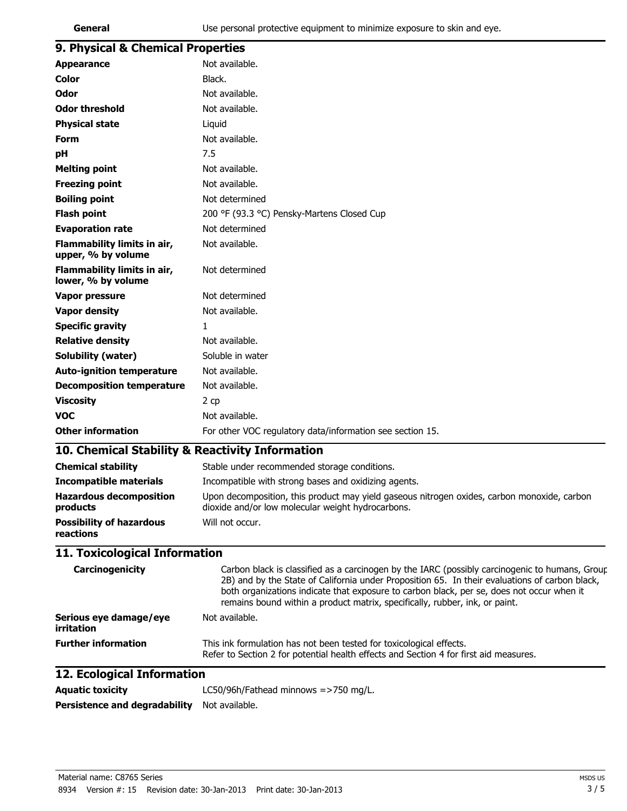| ×<br>w<br>٧<br>۰,<br>×<br>۰. |  |
|------------------------------|--|
|------------------------------|--|

| 9. Physical & Chemical Properties                 |                                                                                                                                                                                                                                                                                                                                                                              |
|---------------------------------------------------|------------------------------------------------------------------------------------------------------------------------------------------------------------------------------------------------------------------------------------------------------------------------------------------------------------------------------------------------------------------------------|
| <b>Appearance</b>                                 | Not available.                                                                                                                                                                                                                                                                                                                                                               |
| <b>Color</b>                                      | Black.                                                                                                                                                                                                                                                                                                                                                                       |
| <b>Odor</b>                                       | Not available.                                                                                                                                                                                                                                                                                                                                                               |
| <b>Odor threshold</b>                             | Not available.                                                                                                                                                                                                                                                                                                                                                               |
| <b>Physical state</b>                             | Liquid                                                                                                                                                                                                                                                                                                                                                                       |
| Form                                              | Not available.                                                                                                                                                                                                                                                                                                                                                               |
| pH                                                | 7.5                                                                                                                                                                                                                                                                                                                                                                          |
| <b>Melting point</b>                              | Not available.                                                                                                                                                                                                                                                                                                                                                               |
| <b>Freezing point</b>                             | Not available.                                                                                                                                                                                                                                                                                                                                                               |
| <b>Boiling point</b>                              | Not determined                                                                                                                                                                                                                                                                                                                                                               |
| <b>Flash point</b>                                | 200 °F (93.3 °C) Pensky-Martens Closed Cup                                                                                                                                                                                                                                                                                                                                   |
| <b>Evaporation rate</b>                           | Not determined                                                                                                                                                                                                                                                                                                                                                               |
| Flammability limits in air,<br>upper, % by volume | Not available.                                                                                                                                                                                                                                                                                                                                                               |
| Flammability limits in air,<br>lower, % by volume | Not determined                                                                                                                                                                                                                                                                                                                                                               |
| <b>Vapor pressure</b>                             | Not determined                                                                                                                                                                                                                                                                                                                                                               |
| <b>Vapor density</b>                              | Not available.                                                                                                                                                                                                                                                                                                                                                               |
| <b>Specific gravity</b>                           | 1                                                                                                                                                                                                                                                                                                                                                                            |
| <b>Relative density</b>                           | Not available.                                                                                                                                                                                                                                                                                                                                                               |
| Solubility (water)                                | Soluble in water                                                                                                                                                                                                                                                                                                                                                             |
| <b>Auto-ignition temperature</b>                  | Not available.                                                                                                                                                                                                                                                                                                                                                               |
| <b>Decomposition temperature</b>                  | Not available.                                                                                                                                                                                                                                                                                                                                                               |
| <b>Viscosity</b>                                  | 2 cp                                                                                                                                                                                                                                                                                                                                                                         |
| <b>VOC</b>                                        | Not available.                                                                                                                                                                                                                                                                                                                                                               |
| <b>Other information</b>                          | For other VOC regulatory data/information see section 15.                                                                                                                                                                                                                                                                                                                    |
| 10. Chemical Stability & Reactivity Information   |                                                                                                                                                                                                                                                                                                                                                                              |
| <b>Chemical stability</b>                         | Stable under recommended storage conditions.                                                                                                                                                                                                                                                                                                                                 |
| <b>Incompatible materials</b>                     | Incompatible with strong bases and oxidizing agents.                                                                                                                                                                                                                                                                                                                         |
| <b>Hazardous decomposition</b><br>products        | Upon decomposition, this product may yield gaseous nitrogen oxides, carbon monoxide, carbon<br>dioxide and/or low molecular weight hydrocarbons.                                                                                                                                                                                                                             |
| <b>Possibility of hazardous</b><br>reactions      | Will not occur.                                                                                                                                                                                                                                                                                                                                                              |
| 11. Toxicological Information                     |                                                                                                                                                                                                                                                                                                                                                                              |
| Carcinogenicity                                   | Carbon black is classified as a carcinogen by the IARC (possibly carcinogenic to humans, Group<br>2B) and by the State of California under Proposition 65. In their evaluations of carbon black,<br>both organizations indicate that exposure to carbon black, per se, does not occur when it<br>remains bound within a product matrix, specifically, rubber, ink, or paint. |
| Serious eye damage/eye<br>irritation              | Not available.                                                                                                                                                                                                                                                                                                                                                               |
| <b>Further information</b>                        | This ink formulation has not been tested for toxicological effects.                                                                                                                                                                                                                                                                                                          |

Refer to Section 2 for potential health effects and Section 4 for first aid measures.

# **12. Ecological Information**

| <b>Aguatic toxicity</b>                      | LC50/96h/Fathead minnows $=$ >750 mg/L. |  |
|----------------------------------------------|-----------------------------------------|--|
| Persistence and degradability Not available. |                                         |  |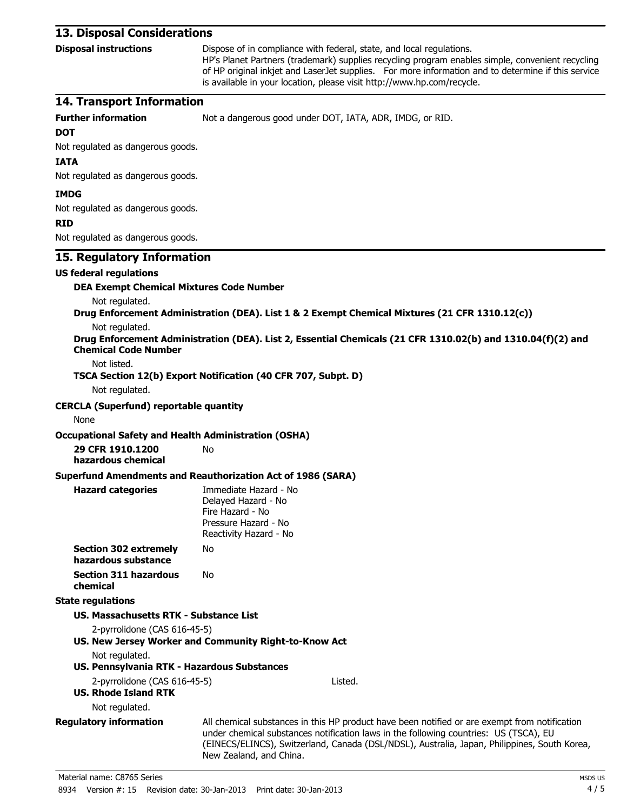# **13. Disposal Considerations**

**Disposal instructions** Dispose of in compliance with federal, state, and local regulations.

HP's Planet Partners (trademark) supplies recycling program enables simple, convenient recycling of HP original inkjet and LaserJet supplies. For more information and to determine if this service is available in your location, please visit http://www.hp.com/recycle.

# **14. Transport Information**

**Further information** Not a dangerous good under DOT, IATA, ADR, IMDG, or RID.

#### **DOT**

## Not regulated as dangerous goods.

### **IATA**

Not regulated as dangerous goods.

### **IMDG**

Not regulated as dangerous goods.

#### **RID**

| KID                                                                             |                                                                                                                                                                                                                                                                                                                   |
|---------------------------------------------------------------------------------|-------------------------------------------------------------------------------------------------------------------------------------------------------------------------------------------------------------------------------------------------------------------------------------------------------------------|
| Not regulated as dangerous goods.                                               |                                                                                                                                                                                                                                                                                                                   |
| 15. Regulatory Information                                                      |                                                                                                                                                                                                                                                                                                                   |
| <b>US federal regulations</b>                                                   |                                                                                                                                                                                                                                                                                                                   |
| <b>DEA Exempt Chemical Mixtures Code Number</b>                                 |                                                                                                                                                                                                                                                                                                                   |
| Not regulated.                                                                  |                                                                                                                                                                                                                                                                                                                   |
|                                                                                 | Drug Enforcement Administration (DEA). List 1 & 2 Exempt Chemical Mixtures (21 CFR 1310.12(c))                                                                                                                                                                                                                    |
| Not regulated.                                                                  |                                                                                                                                                                                                                                                                                                                   |
| <b>Chemical Code Number</b>                                                     | Drug Enforcement Administration (DEA). List 2, Essential Chemicals (21 CFR 1310.02(b) and 1310.04(f)(2) and                                                                                                                                                                                                       |
| Not listed.                                                                     | TSCA Section 12(b) Export Notification (40 CFR 707, Subpt. D)                                                                                                                                                                                                                                                     |
| Not regulated.                                                                  |                                                                                                                                                                                                                                                                                                                   |
| <b>CERCLA (Superfund) reportable quantity</b>                                   |                                                                                                                                                                                                                                                                                                                   |
| None                                                                            |                                                                                                                                                                                                                                                                                                                   |
|                                                                                 |                                                                                                                                                                                                                                                                                                                   |
| <b>Occupational Safety and Health Administration (OSHA)</b><br>29 CFR 1910.1200 | No                                                                                                                                                                                                                                                                                                                |
| hazardous chemical                                                              |                                                                                                                                                                                                                                                                                                                   |
|                                                                                 | Superfund Amendments and Reauthorization Act of 1986 (SARA)                                                                                                                                                                                                                                                       |
| <b>Hazard categories</b>                                                        | Immediate Hazard - No<br>Delayed Hazard - No<br>Fire Hazard - No<br>Pressure Hazard - No<br>Reactivity Hazard - No                                                                                                                                                                                                |
| <b>Section 302 extremely</b><br>hazardous substance                             | No                                                                                                                                                                                                                                                                                                                |
| <b>Section 311 hazardous</b><br>chemical                                        | No                                                                                                                                                                                                                                                                                                                |
| <b>State regulations</b>                                                        |                                                                                                                                                                                                                                                                                                                   |
| US. Massachusetts RTK - Substance List                                          |                                                                                                                                                                                                                                                                                                                   |
| 2-pyrrolidone (CAS 616-45-5)                                                    |                                                                                                                                                                                                                                                                                                                   |
|                                                                                 | US. New Jersey Worker and Community Right-to-Know Act                                                                                                                                                                                                                                                             |
| Not regulated.                                                                  |                                                                                                                                                                                                                                                                                                                   |
| US. Pennsylvania RTK - Hazardous Substances                                     |                                                                                                                                                                                                                                                                                                                   |
| 2-pyrrolidone (CAS 616-45-5)<br><b>US. Rhode Island RTK</b>                     | Listed.                                                                                                                                                                                                                                                                                                           |
| Not regulated.                                                                  |                                                                                                                                                                                                                                                                                                                   |
| <b>Regulatory information</b>                                                   | All chemical substances in this HP product have been notified or are exempt from notification<br>under chemical substances notification laws in the following countries: US (TSCA), EU<br>(EINECS/ELINCS), Switzerland, Canada (DSL/NDSL), Australia, Japan, Philippines, South Korea,<br>New Zealand, and China. |